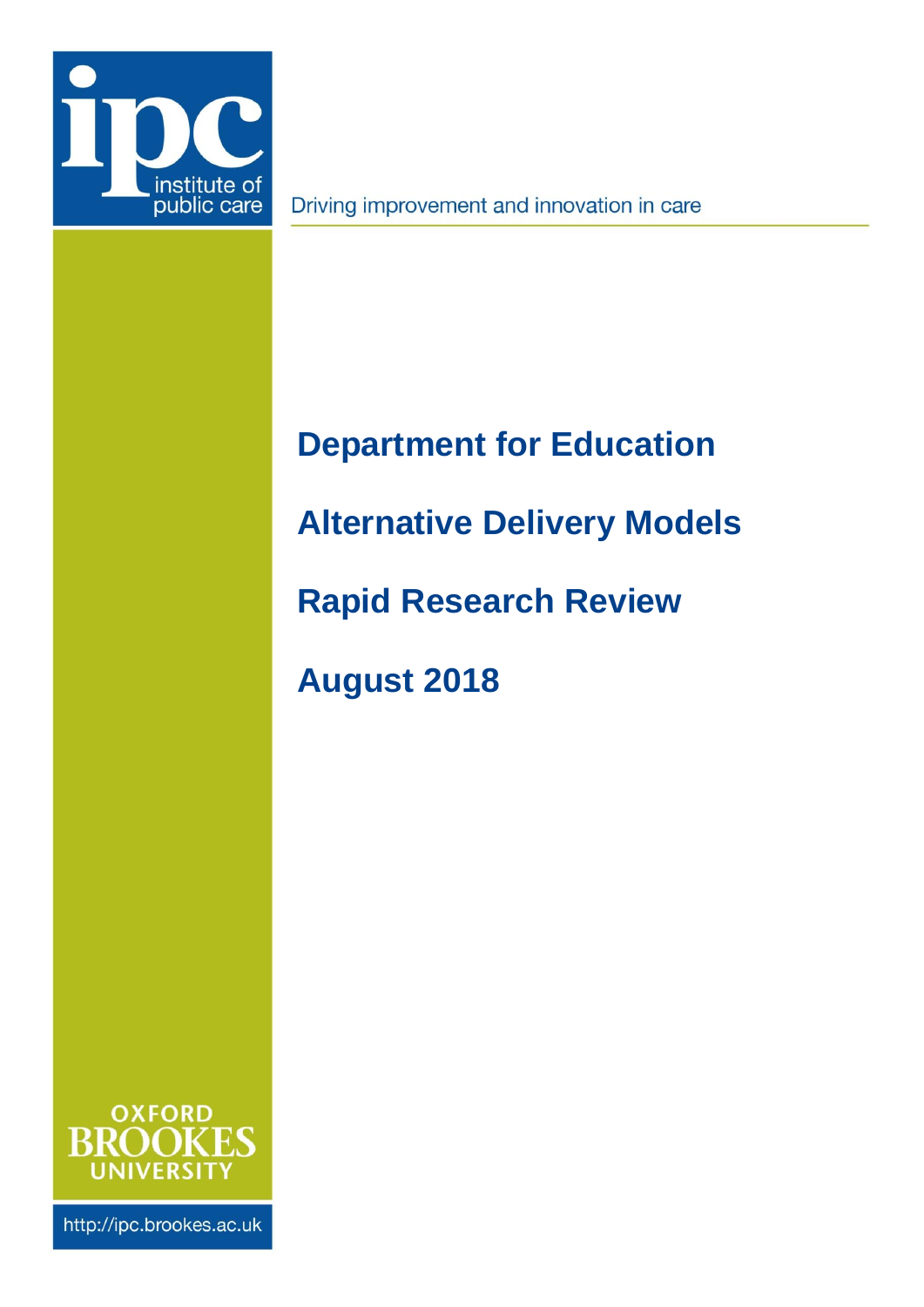

Driving improvement and innovation in care

## <span id="page-0-2"></span>**Department for Education**

## <span id="page-0-0"></span>**Alternative Delivery Models**

<span id="page-0-1"></span>**Rapid Research Review**

**August 2018**



http://ipc.brookes.ac.uk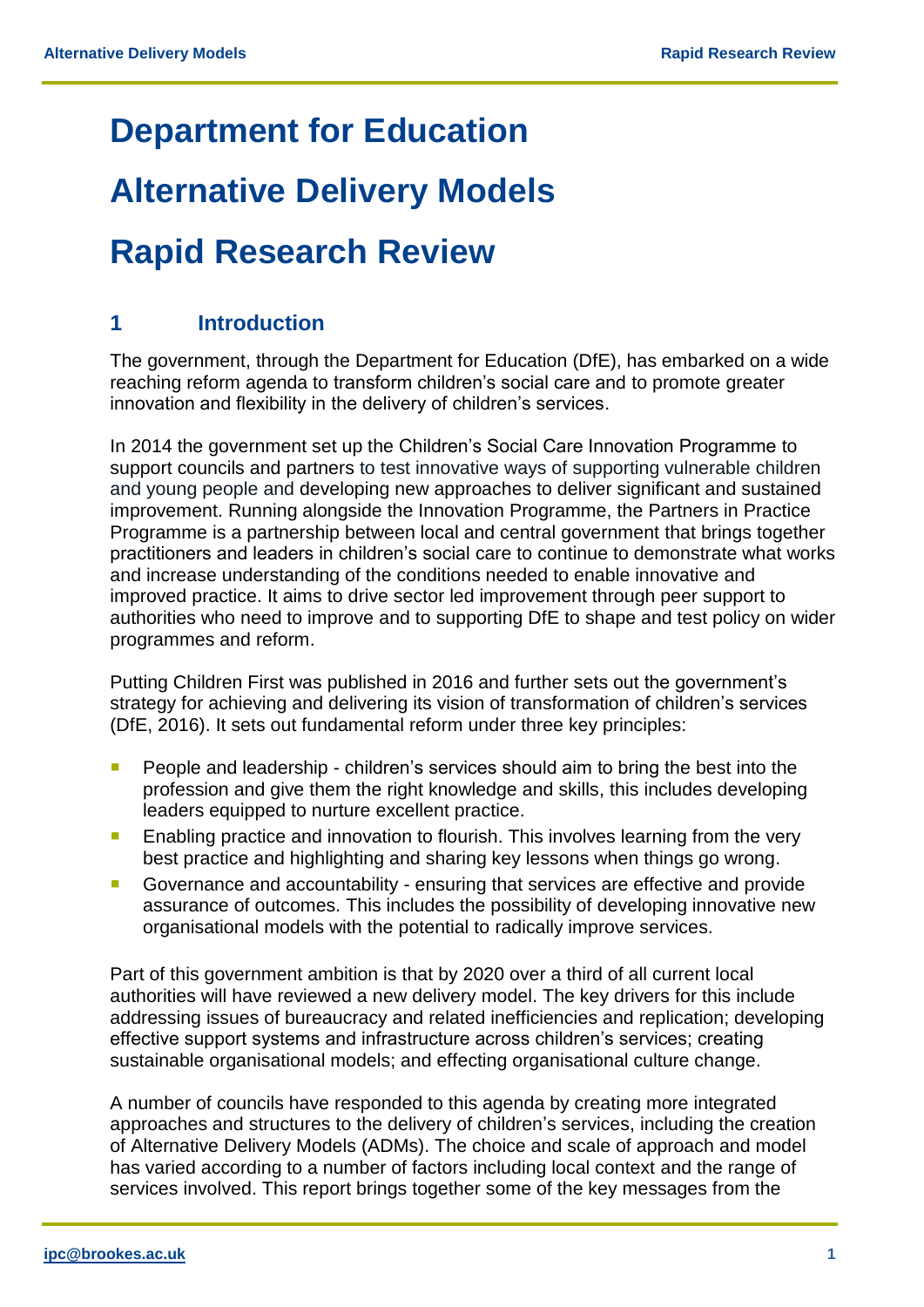### **[Department for Education](#page-0-2)**

# **[Alternative Delivery Models](#page-0-0)**

## **Rapid Research Review**

#### **1 Introduction**

The government, through the Department for Education (DfE), has embarked on a wide reaching reform agenda to transform children's social care and to promote greater innovation and flexibility in the delivery of children's services.

In 2014 the government set up the Children's Social Care Innovation Programme to support councils and partners to test innovative ways of supporting vulnerable children and young people and developing new approaches to deliver significant and sustained improvement. Running alongside the Innovation Programme, the Partners in Practice Programme is a partnership between local and central government that brings together practitioners and leaders in children's social care to continue to demonstrate what works and increase understanding of the conditions needed to enable innovative and improved practice. It aims to drive sector led improvement through peer support to authorities who need to improve and to supporting DfE to shape and test policy on wider programmes and reform.

Putting Children First was published in 2016 and further sets out the government's strategy for achieving and delivering its vision of transformation of children's services (DfE, 2016). It sets out fundamental reform under three key principles:

- **People and leadership children's services should aim to bring the best into the** profession and give them the right knowledge and skills, this includes developing leaders equipped to nurture excellent practice.
- **Enabling practice and innovation to flourish. This involves learning from the very** best practice and highlighting and sharing key lessons when things go wrong.
- Governance and accountability ensuring that services are effective and provide assurance of outcomes. This includes the possibility of developing innovative new organisational models with the potential to radically improve services.

Part of this government ambition is that by 2020 over a third of all current local authorities will have reviewed a new delivery model. The key drivers for this include addressing issues of bureaucracy and related inefficiencies and replication; developing effective support systems and infrastructure across children's services; creating sustainable organisational models; and effecting organisational culture change.

A number of councils have responded to this agenda by creating more integrated approaches and structures to the delivery of children's services, including the creation of Alternative Delivery Models (ADMs). The choice and scale of approach and model has varied according to a number of factors including local context and the range of services involved. This report brings together some of the key messages from the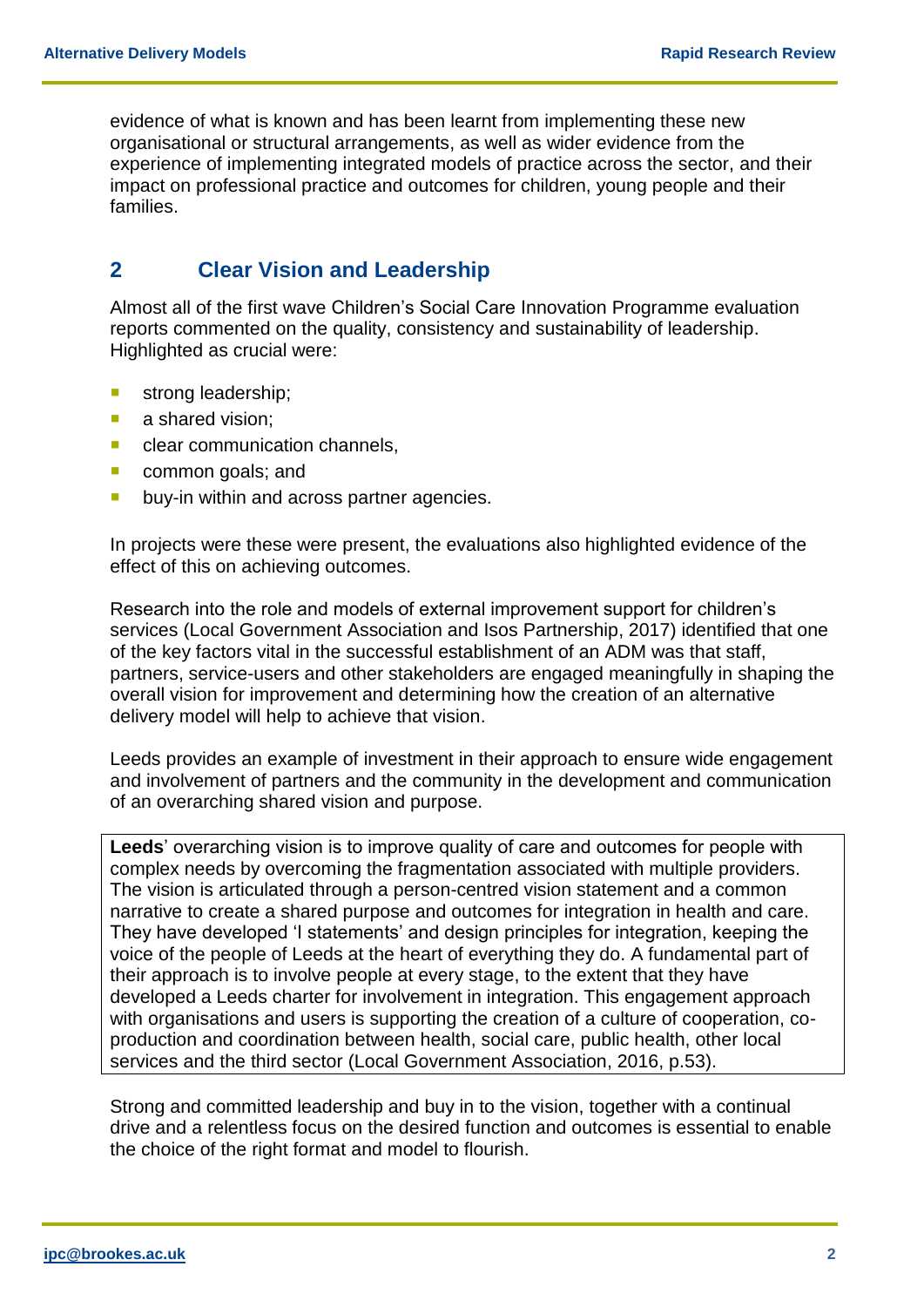evidence of what is known and has been learnt from implementing these new organisational or structural arrangements, as well as wider evidence from the experience of implementing integrated models of practice across the sector, and their impact on professional practice and outcomes for children, young people and their families.

#### **2 Clear Vision and Leadership**

Almost all of the first wave Children's Social Care Innovation Programme evaluation reports commented on the quality, consistency and sustainability of leadership. Highlighted as crucial were:

- strong leadership;
- a shared vision;
- **Clear communication channels,**
- common goals; and
- **buy-in within and across partner agencies.**

In projects were these were present, the evaluations also highlighted evidence of the effect of this on achieving outcomes.

Research into the role and models of external improvement support for children's services (Local Government Association and Isos Partnership, 2017) identified that one of the key factors vital in the successful establishment of an ADM was that staff, partners, service-users and other stakeholders are engaged meaningfully in shaping the overall vision for improvement and determining how the creation of an alternative delivery model will help to achieve that vision.

Leeds provides an example of investment in their approach to ensure wide engagement and involvement of partners and the community in the development and communication of an overarching shared vision and purpose.

**Leeds**' overarching vision is to improve quality of care and outcomes for people with complex needs by overcoming the fragmentation associated with multiple providers. The vision is articulated through a person-centred vision statement and a common narrative to create a shared purpose and outcomes for integration in health and care. They have developed 'I statements' and design principles for integration, keeping the voice of the people of Leeds at the heart of everything they do. A fundamental part of their approach is to involve people at every stage, to the extent that they have developed a Leeds charter for involvement in integration. This engagement approach with organisations and users is supporting the creation of a culture of cooperation, coproduction and coordination between health, social care, public health, other local services and the third sector (Local Government Association, 2016, p.53).

Strong and committed leadership and buy in to the vision, together with a continual drive and a relentless focus on the desired function and outcomes is essential to enable the choice of the right format and model to flourish.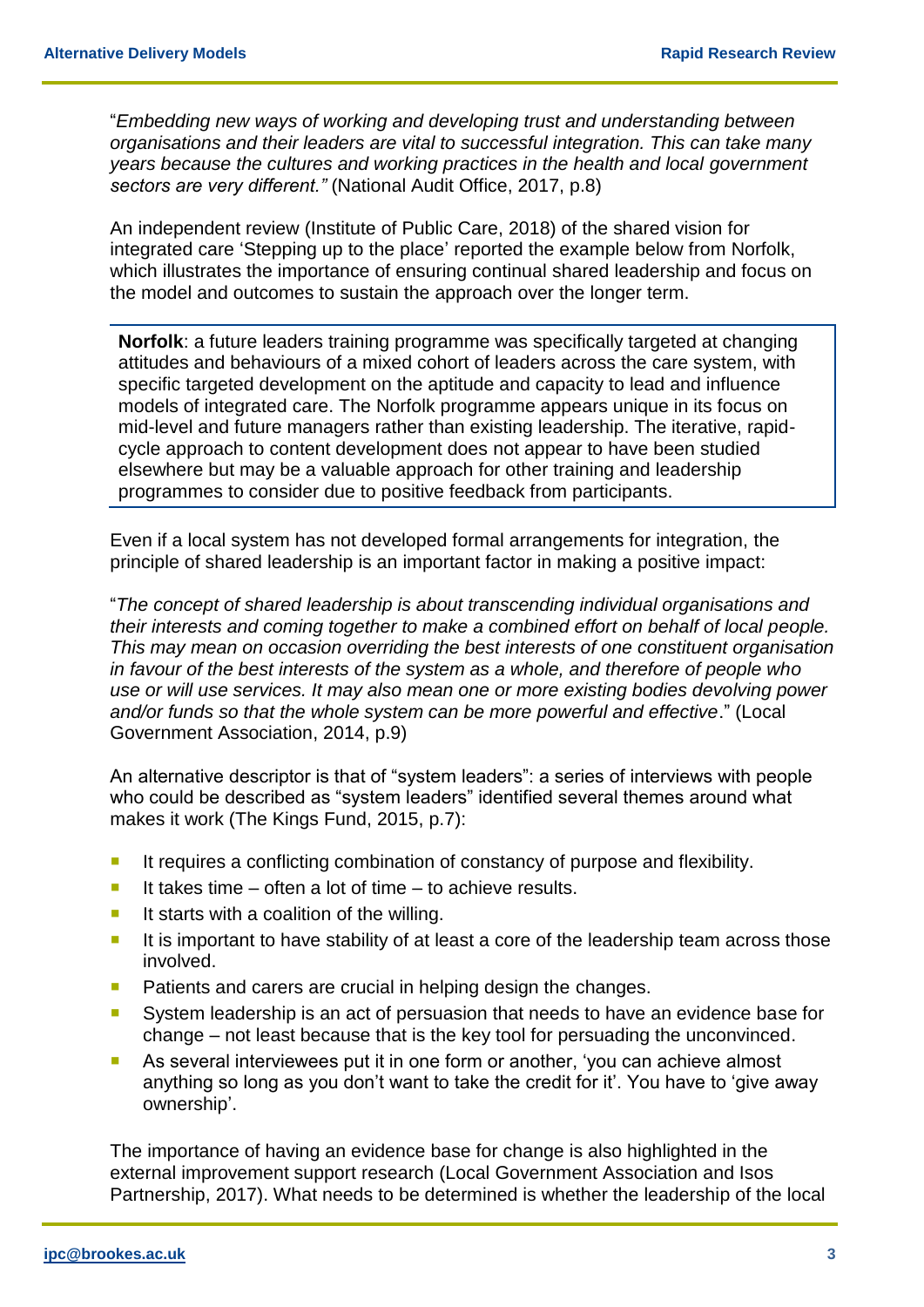"*Embedding new ways of working and developing trust and understanding between organisations and their leaders are vital to successful integration. This can take many years because the cultures and working practices in the health and local government sectors are very different."* (National Audit Office, 2017, p.8)

An independent review (Institute of Public Care, 2018) of the shared vision for integrated care 'Stepping up to the place' reported the example below from Norfolk, which illustrates the importance of ensuring continual shared leadership and focus on the model and outcomes to sustain the approach over the longer term.

**Norfolk**: a future leaders training programme was specifically targeted at changing attitudes and behaviours of a mixed cohort of leaders across the care system, with specific targeted development on the aptitude and capacity to lead and influence models of integrated care. The Norfolk programme appears unique in its focus on mid-level and future managers rather than existing leadership. The iterative, rapidcycle approach to content development does not appear to have been studied elsewhere but may be a valuable approach for other training and leadership programmes to consider due to positive feedback from participants.

Even if a local system has not developed formal arrangements for integration, the principle of shared leadership is an important factor in making a positive impact:

"*The concept of shared leadership is about transcending individual organisations and their interests and coming together to make a combined effort on behalf of local people. This may mean on occasion overriding the best interests of one constituent organisation in favour of the best interests of the system as a whole, and therefore of people who use or will use services. It may also mean one or more existing bodies devolving power and/or funds so that the whole system can be more powerful and effective*." (Local Government Association, 2014, p.9)

An alternative descriptor is that of "system leaders": a series of interviews with people who could be described as "system leaders" identified several themes around what makes it work (The Kings Fund, 2015, p.7):

- **If requires a conflicting combination of constancy of purpose and flexibility.**
- It takes time often a lot of time to achieve results.
- It starts with a coalition of the willing.
- It is important to have stability of at least a core of the leadership team across those involved.
- **Patients and carers are crucial in helping design the changes.**
- System leadership is an act of persuasion that needs to have an evidence base for change – not least because that is the key tool for persuading the unconvinced.
- **As several interviewees put it in one form or another, 'you can achieve almost** anything so long as you don't want to take the credit for it'. You have to 'give away ownership'.

The importance of having an evidence base for change is also highlighted in the external improvement support research (Local Government Association and Isos Partnership, 2017). What needs to be determined is whether the leadership of the local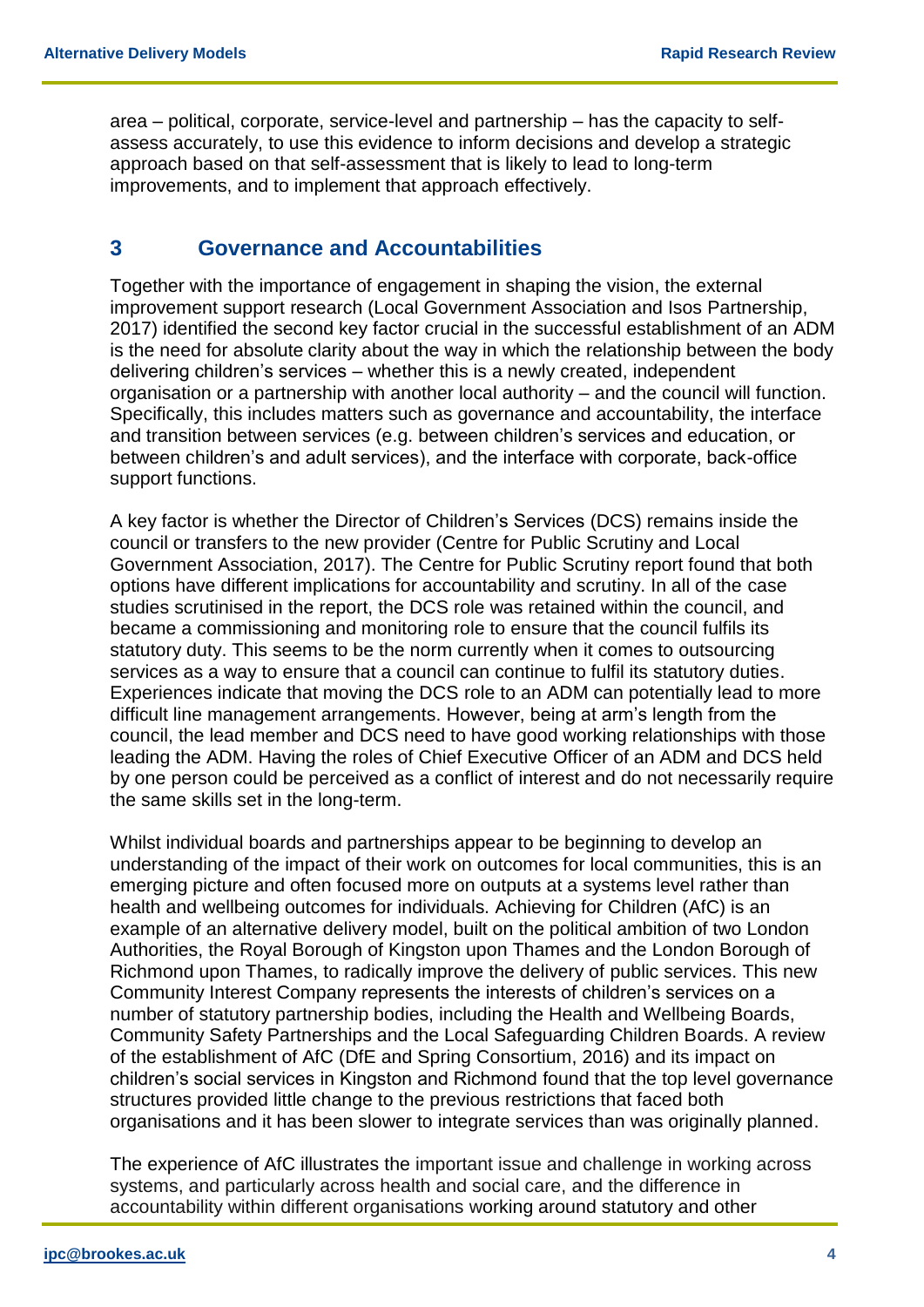area – political, corporate, service-level and partnership – has the capacity to selfassess accurately, to use this evidence to inform decisions and develop a strategic approach based on that self-assessment that is likely to lead to long-term improvements, and to implement that approach effectively.

#### **3 Governance and Accountabilities**

Together with the importance of engagement in shaping the vision, the external improvement support research (Local Government Association and Isos Partnership, 2017) identified the second key factor crucial in the successful establishment of an ADM is the need for absolute clarity about the way in which the relationship between the body delivering children's services – whether this is a newly created, independent organisation or a partnership with another local authority – and the council will function. Specifically, this includes matters such as governance and accountability, the interface and transition between services (e.g. between children's services and education, or between children's and adult services), and the interface with corporate, back-office support functions.

A key factor is whether the Director of Children's Services (DCS) remains inside the council or transfers to the new provider (Centre for Public Scrutiny and Local Government Association, 2017). The Centre for Public Scrutiny report found that both options have different implications for accountability and scrutiny. In all of the case studies scrutinised in the report, the DCS role was retained within the council, and became a commissioning and monitoring role to ensure that the council fulfils its statutory duty. This seems to be the norm currently when it comes to outsourcing services as a way to ensure that a council can continue to fulfil its statutory duties. Experiences indicate that moving the DCS role to an ADM can potentially lead to more difficult line management arrangements. However, being at arm's length from the council, the lead member and DCS need to have good working relationships with those leading the ADM. Having the roles of Chief Executive Officer of an ADM and DCS held by one person could be perceived as a conflict of interest and do not necessarily require the same skills set in the long-term.

Whilst individual boards and partnerships appear to be beginning to develop an understanding of the impact of their work on outcomes for local communities, this is an emerging picture and often focused more on outputs at a systems level rather than health and wellbeing outcomes for individuals. Achieving for Children (AfC) is an example of an alternative delivery model, built on the political ambition of two London Authorities, the Royal Borough of Kingston upon Thames and the London Borough of Richmond upon Thames, to radically improve the delivery of public services. This new Community Interest Company represents the interests of children's services on a number of statutory partnership bodies, including the Health and Wellbeing Boards, Community Safety Partnerships and the Local Safeguarding Children Boards. A review of the establishment of AfC (DfE and Spring Consortium, 2016) and its impact on children's social services in Kingston and Richmond found that the top level governance structures provided little change to the previous restrictions that faced both organisations and it has been slower to integrate services than was originally planned.

The experience of AfC illustrates the important issue and challenge in working across systems, and particularly across health and social care, and the difference in accountability within different organisations working around statutory and other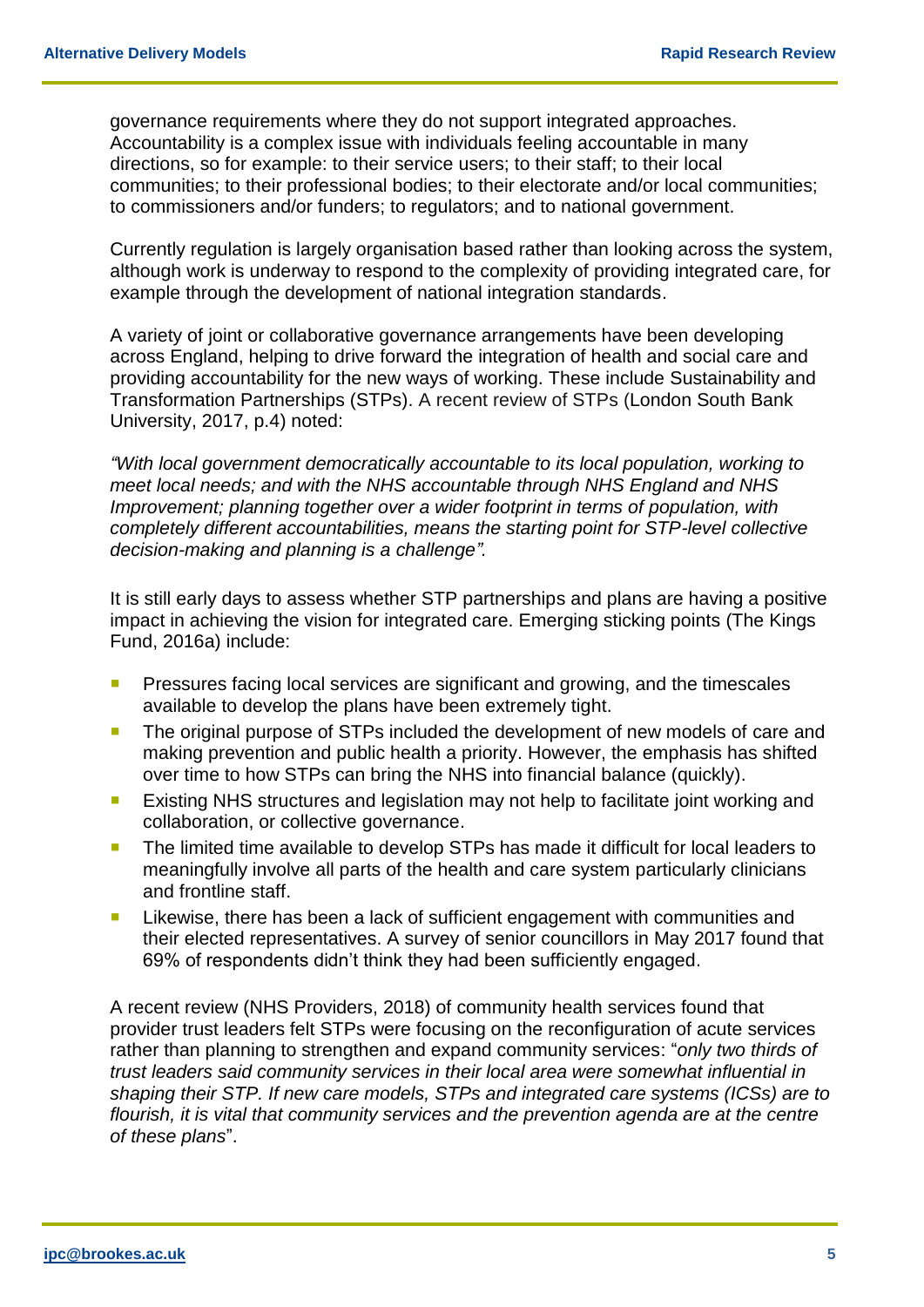governance requirements where they do not support integrated approaches. Accountability is a complex issue with individuals feeling accountable in many directions, so for example: to their service users; to their staff; to their local communities; to their professional bodies; to their electorate and/or local communities; to commissioners and/or funders; to regulators; and to national government.

Currently regulation is largely organisation based rather than looking across the system, although work is underway to respond to the complexity of providing integrated care, for example through the development of national integration standards.

A variety of joint or collaborative governance arrangements have been developing across England, helping to drive forward the integration of health and social care and providing accountability for the new ways of working. These include Sustainability and Transformation Partnerships (STPs). A recent review of STPs (London South Bank University, 2017, p.4) noted:

*"With local government democratically accountable to its local population, working to meet local needs; and with the NHS accountable through NHS England and NHS Improvement; planning together over a wider footprint in terms of population, with completely different accountabilities, means the starting point for STP-level collective decision-making and planning is a challenge".*

It is still early days to assess whether STP partnerships and plans are having a positive impact in achieving the vision for integrated care. Emerging sticking points (The Kings Fund, 2016a) include:

- Pressures facing local services are significant and growing, and the timescales available to develop the plans have been extremely tight.
- **The original purpose of STPs included the development of new models of care and** making prevention and public health a priority. However, the emphasis has shifted over time to how STPs can bring the NHS into financial balance (quickly).
- **EXisting NHS structures and legislation may not help to facilitate joint working and** collaboration, or collective governance.
- The limited time available to develop STPs has made it difficult for local leaders to meaningfully involve all parts of the health and care system particularly clinicians and frontline staff.
- **Likewise, there has been a lack of sufficient engagement with communities and** their elected representatives. A survey of senior councillors in May 2017 found that 69% of respondents didn't think they had been sufficiently engaged.

A recent review (NHS Providers, 2018) of community health services found that provider trust leaders felt STPs were focusing on the reconfiguration of acute services rather than planning to strengthen and expand community services: "*only two thirds of trust leaders said community services in their local area were somewhat influential in shaping their STP. If new care models, STPs and integrated care systems (ICSs) are to flourish, it is vital that community services and the prevention agenda are at the centre of these plans*".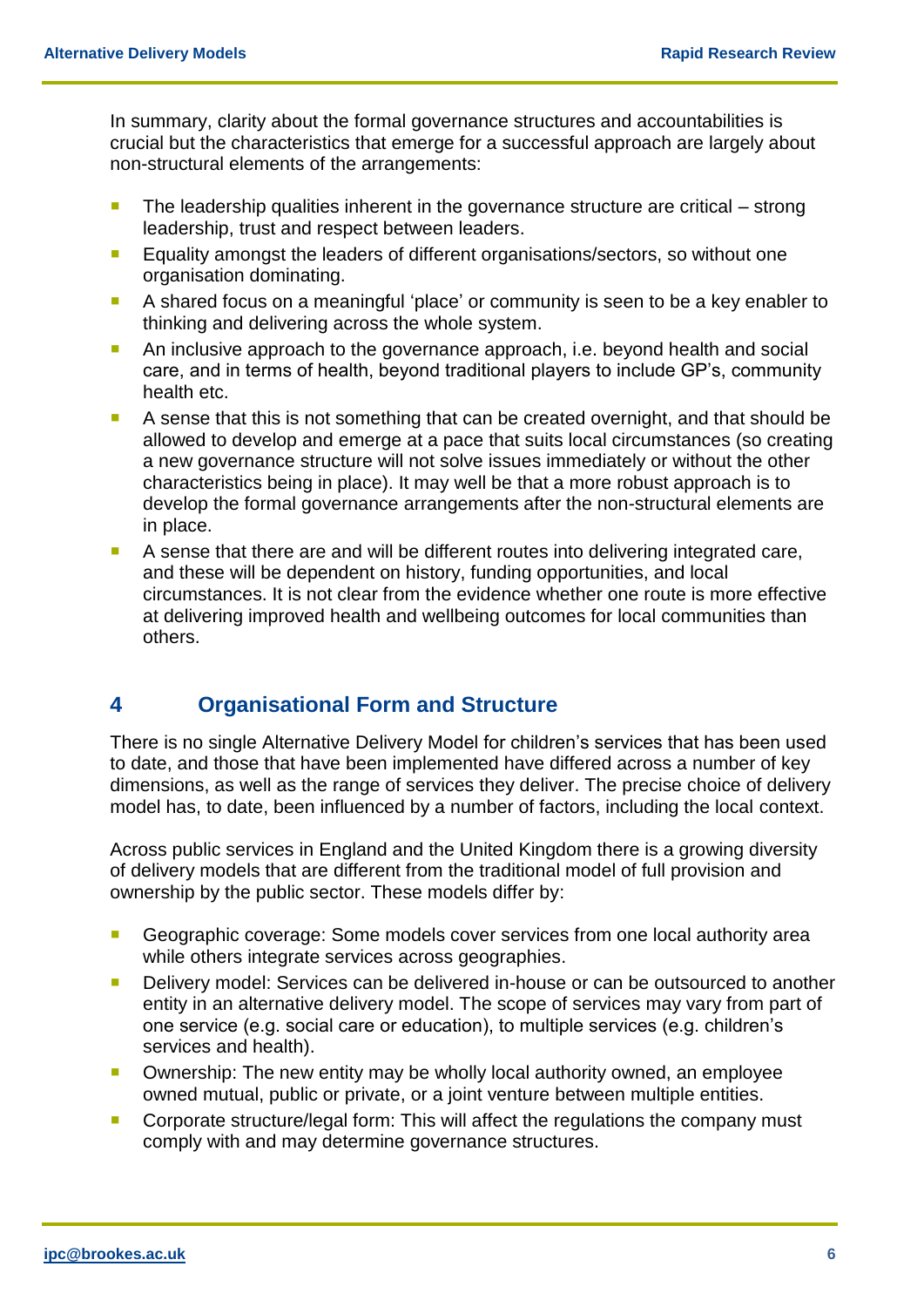In summary, clarity about the formal governance structures and accountabilities is crucial but the characteristics that emerge for a successful approach are largely about non-structural elements of the arrangements:

- $\blacksquare$  The leadership qualities inherent in the governance structure are critical strong leadership, trust and respect between leaders.
- **Equality amongst the leaders of different organisations/sectors, so without one** organisation dominating.
- A shared focus on a meaningful 'place' or community is seen to be a key enabler to thinking and delivering across the whole system.
- An inclusive approach to the governance approach, i.e. beyond health and social care, and in terms of health, beyond traditional players to include GP's, community health etc.
- A sense that this is not something that can be created overnight, and that should be allowed to develop and emerge at a pace that suits local circumstances (so creating a new governance structure will not solve issues immediately or without the other characteristics being in place). It may well be that a more robust approach is to develop the formal governance arrangements after the non-structural elements are in place.
- A sense that there are and will be different routes into delivering integrated care, and these will be dependent on history, funding opportunities, and local circumstances. It is not clear from the evidence whether one route is more effective at delivering improved health and wellbeing outcomes for local communities than others.

#### **4 Organisational Form and Structure**

There is no single Alternative Delivery Model for children's services that has been used to date, and those that have been implemented have differed across a number of key dimensions, as well as the range of services they deliver. The precise choice of delivery model has, to date, been influenced by a number of factors, including the local context.

Across public services in England and the United Kingdom there is a growing diversity of delivery models that are different from the traditional model of full provision and ownership by the public sector. These models differ by:

- Geographic coverage: Some models cover services from one local authority area while others integrate services across geographies.
- **Delivery model: Services can be delivered in-house or can be outsourced to another** entity in an alternative delivery model. The scope of services may vary from part of one service (e.g. social care or education), to multiple services (e.g. children's services and health).
- **Diam** Ownership: The new entity may be wholly local authority owned, an employee owned mutual, public or private, or a joint venture between multiple entities.
- **Corporate structure/legal form: This will affect the regulations the company must** comply with and may determine governance structures.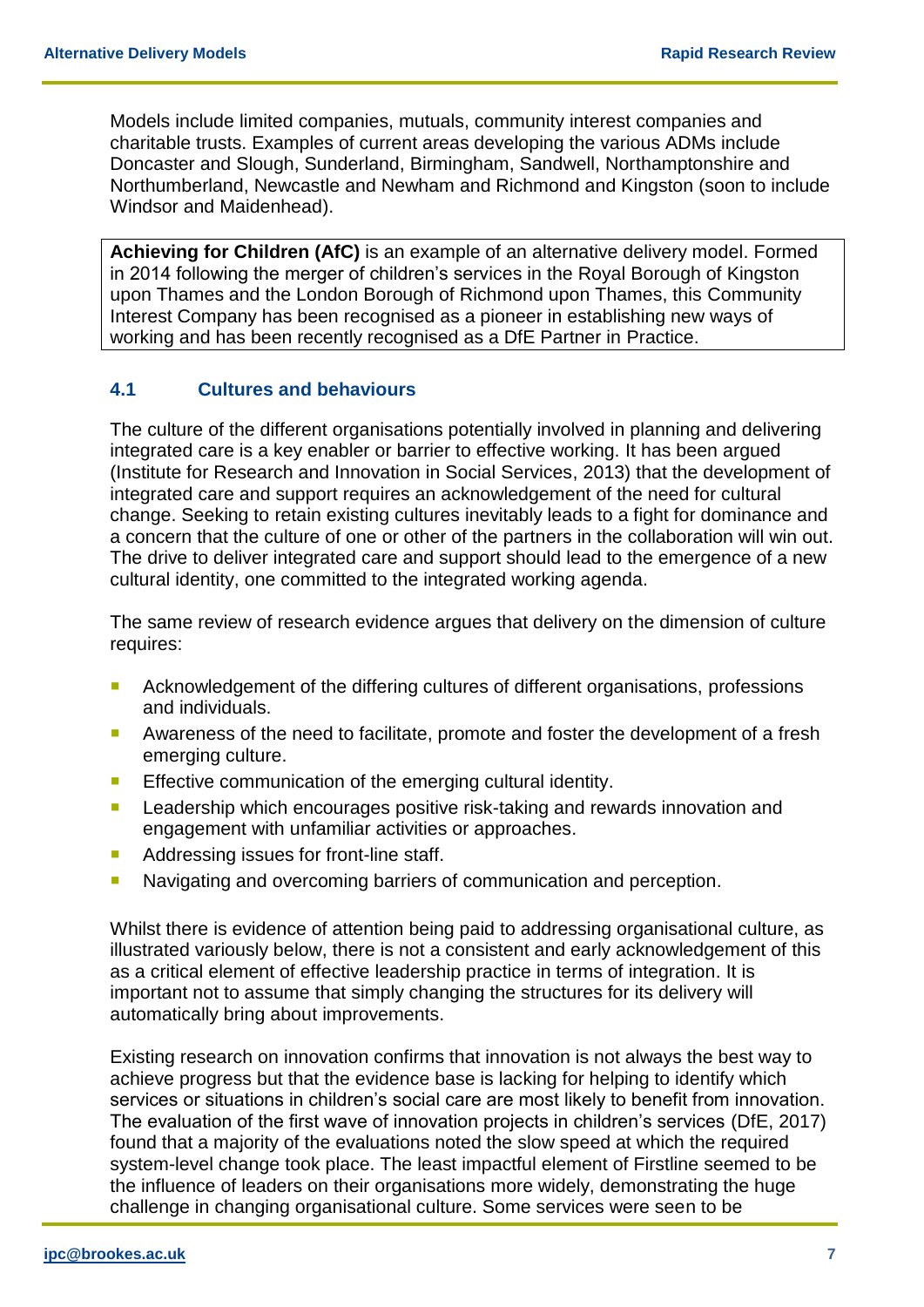Models include limited companies, mutuals, community interest companies and charitable trusts. Examples of current areas developing the various ADMs include Doncaster and Slough, Sunderland, Birmingham, Sandwell, Northamptonshire and Northumberland, Newcastle and Newham and Richmond and Kingston (soon to include Windsor and Maidenhead).

**Achieving for Children (AfC)** is an example of an alternative delivery model. Formed in 2014 following the merger of children's services in the Royal Borough of Kingston upon Thames and the London Borough of Richmond upon Thames, this Community Interest Company has been recognised as a pioneer in establishing new ways of working and has been recently recognised as a DfE Partner in Practice.

#### **4.1 Cultures and behaviours**

The culture of the different organisations potentially involved in planning and delivering integrated care is a key enabler or barrier to effective working. It has been argued (Institute for Research and Innovation in Social Services, 2013) that the development of integrated care and support requires an acknowledgement of the need for cultural change. Seeking to retain existing cultures inevitably leads to a fight for dominance and a concern that the culture of one or other of the partners in the collaboration will win out. The drive to deliver integrated care and support should lead to the emergence of a new cultural identity, one committed to the integrated working agenda.

The same review of research evidence argues that delivery on the dimension of culture requires:

- **Acknowledgement of the differing cultures of different organisations, professions** and individuals.
- **Awareness of the need to facilitate, promote and foster the development of a fresh** emerging culture.
- **Effective communication of the emerging cultural identity.**
- **Leadership which encourages positive risk-taking and rewards innovation and** engagement with unfamiliar activities or approaches.
- Addressing issues for front-line staff.
- **Navigating and overcoming barriers of communication and perception.**

Whilst there is evidence of attention being paid to addressing organisational culture, as illustrated variously below, there is not a consistent and early acknowledgement of this as a critical element of effective leadership practice in terms of integration. It is important not to assume that simply changing the structures for its delivery will automatically bring about improvements.

Existing research on innovation confirms that innovation is not always the best way to achieve progress but that the evidence base is lacking for helping to identify which services or situations in children's social care are most likely to benefit from innovation. The evaluation of the first wave of innovation projects in children's services (DfE, 2017) found that a majority of the evaluations noted the slow speed at which the required system-level change took place. The least impactful element of Firstline seemed to be the influence of leaders on their organisations more widely, demonstrating the huge challenge in changing organisational culture. Some services were seen to be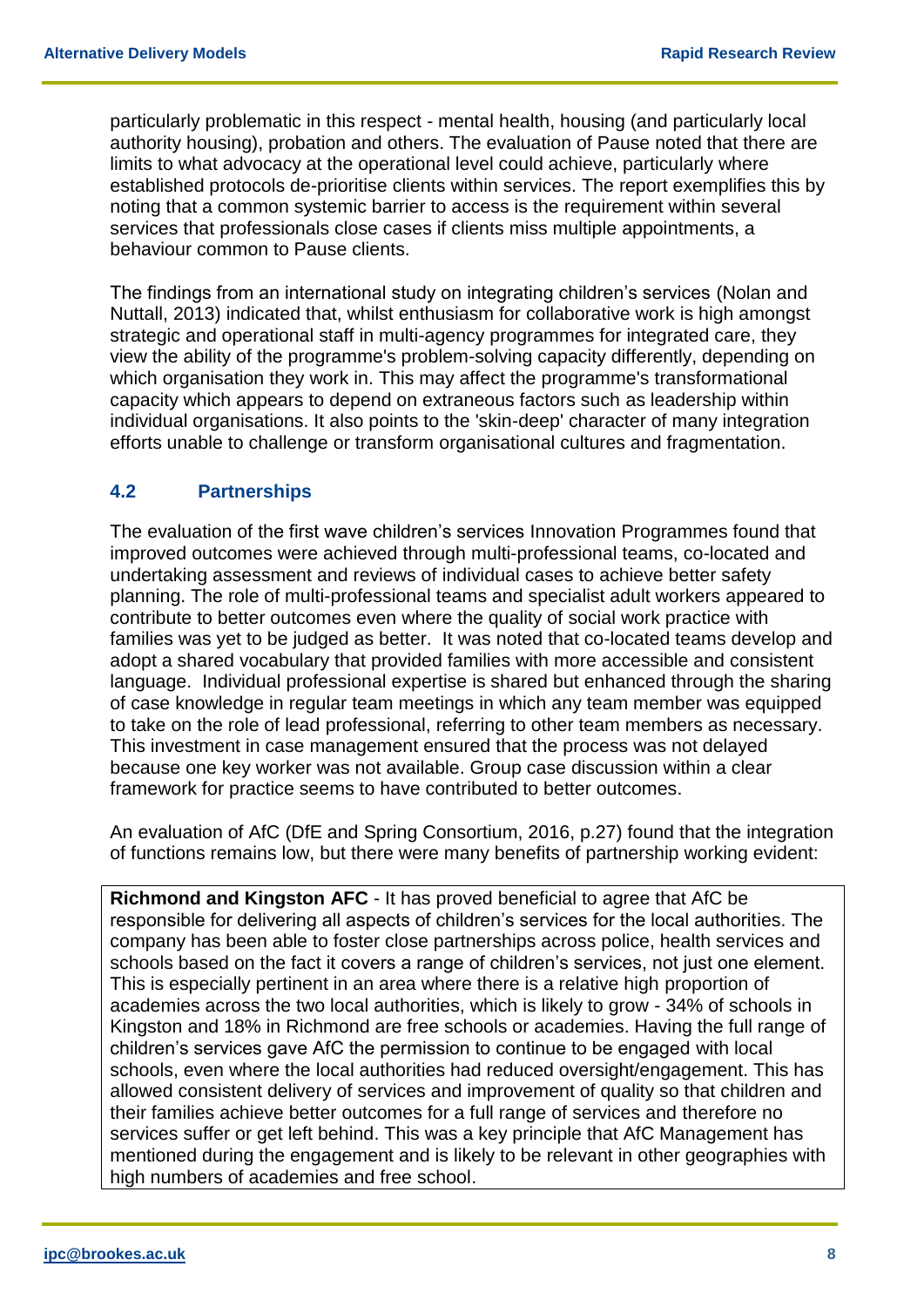particularly problematic in this respect - mental health, housing (and particularly local authority housing), probation and others. The evaluation of Pause noted that there are limits to what advocacy at the operational level could achieve, particularly where established protocols de-prioritise clients within services. The report exemplifies this by noting that a common systemic barrier to access is the requirement within several services that professionals close cases if clients miss multiple appointments, a behaviour common to Pause clients.

The findings from an international study on integrating children's services (Nolan and Nuttall, 2013) indicated that, whilst enthusiasm for collaborative work is high amongst strategic and operational staff in multi-agency programmes for integrated care, they view the ability of the programme's problem-solving capacity differently, depending on which organisation they work in. This may affect the programme's transformational capacity which appears to depend on extraneous factors such as leadership within individual organisations. It also points to the 'skin-deep' character of many integration efforts unable to challenge or transform organisational cultures and fragmentation.

#### **4.2 Partnerships**

The evaluation of the first wave children's services Innovation Programmes found that improved outcomes were achieved through multi-professional teams, co-located and undertaking assessment and reviews of individual cases to achieve better safety planning. The role of multi-professional teams and specialist adult workers appeared to contribute to better outcomes even where the quality of social work practice with families was yet to be judged as better. It was noted that co-located teams develop and adopt a shared vocabulary that provided families with more accessible and consistent language. Individual professional expertise is shared but enhanced through the sharing of case knowledge in regular team meetings in which any team member was equipped to take on the role of lead professional, referring to other team members as necessary. This investment in case management ensured that the process was not delayed because one key worker was not available. Group case discussion within a clear framework for practice seems to have contributed to better outcomes.

An evaluation of AfC (DfE and Spring Consortium, 2016, p.27) found that the integration of functions remains low, but there were many benefits of partnership working evident:

**Richmond and Kingston AFC** - It has proved beneficial to agree that AfC be responsible for delivering all aspects of children's services for the local authorities. The company has been able to foster close partnerships across police, health services and schools based on the fact it covers a range of children's services, not just one element. This is especially pertinent in an area where there is a relative high proportion of academies across the two local authorities, which is likely to grow - 34% of schools in Kingston and 18% in Richmond are free schools or academies. Having the full range of children's services gave AfC the permission to continue to be engaged with local schools, even where the local authorities had reduced oversight/engagement. This has allowed consistent delivery of services and improvement of quality so that children and their families achieve better outcomes for a full range of services and therefore no services suffer or get left behind. This was a key principle that AfC Management has mentioned during the engagement and is likely to be relevant in other geographies with high numbers of academies and free school.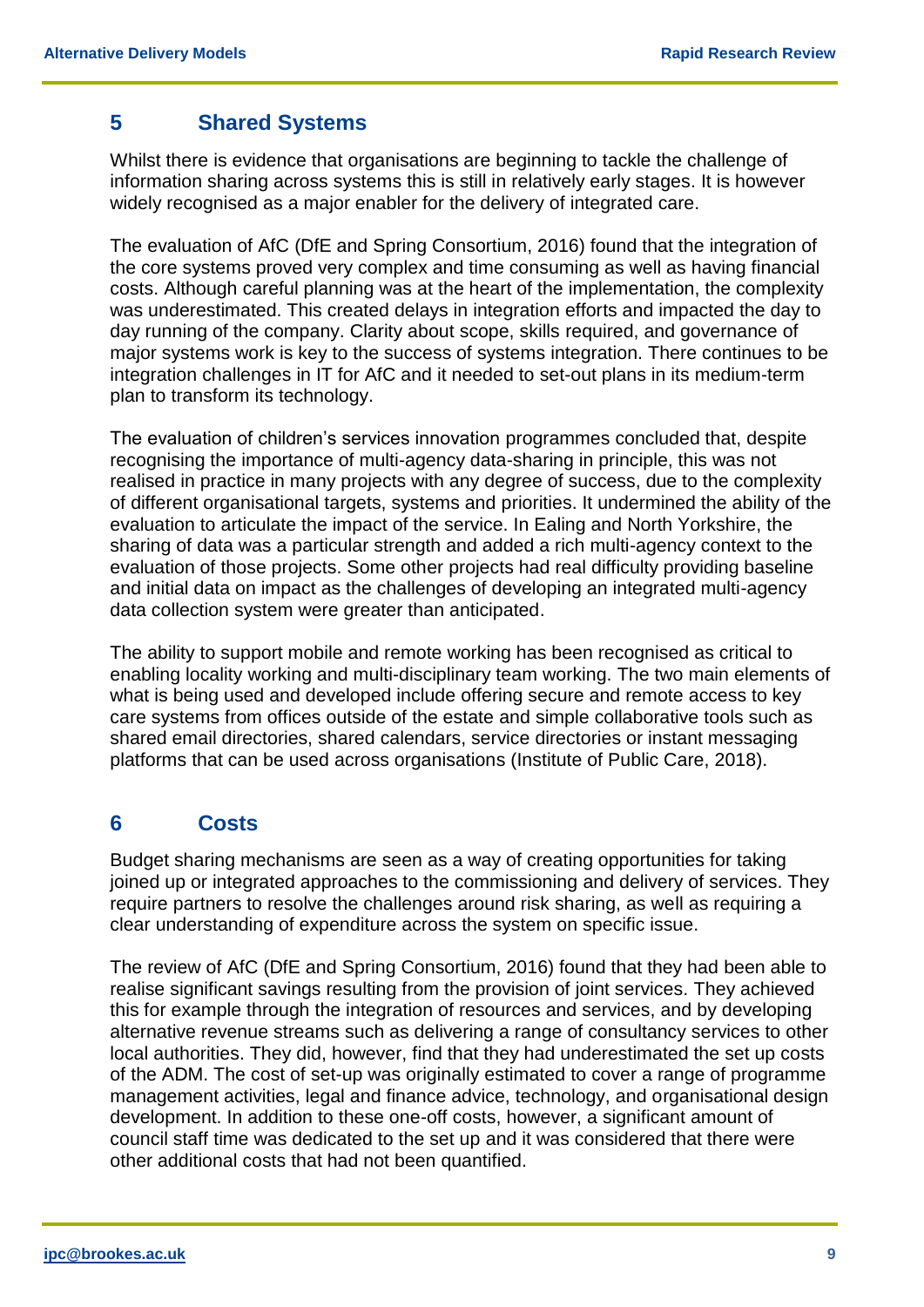#### **5 Shared Systems**

Whilst there is evidence that organisations are beginning to tackle the challenge of information sharing across systems this is still in relatively early stages. It is however widely recognised as a major enabler for the delivery of integrated care.

The evaluation of AfC (DfE and Spring Consortium, 2016) found that the integration of the core systems proved very complex and time consuming as well as having financial costs. Although careful planning was at the heart of the implementation, the complexity was underestimated. This created delays in integration efforts and impacted the day to day running of the company. Clarity about scope, skills required, and governance of major systems work is key to the success of systems integration. There continues to be integration challenges in IT for AfC and it needed to set-out plans in its medium-term plan to transform its technology.

The evaluation of children's services innovation programmes concluded that, despite recognising the importance of multi-agency data-sharing in principle, this was not realised in practice in many projects with any degree of success, due to the complexity of different organisational targets, systems and priorities. It undermined the ability of the evaluation to articulate the impact of the service. In Ealing and North Yorkshire, the sharing of data was a particular strength and added a rich multi-agency context to the evaluation of those projects. Some other projects had real difficulty providing baseline and initial data on impact as the challenges of developing an integrated multi-agency data collection system were greater than anticipated.

The ability to support mobile and remote working has been recognised as critical to enabling locality working and multi-disciplinary team working. The two main elements of what is being used and developed include offering secure and remote access to key care systems from offices outside of the estate and simple collaborative tools such as shared email directories, shared calendars, service directories or instant messaging platforms that can be used across organisations (Institute of Public Care, 2018).

#### **6 Costs**

Budget sharing mechanisms are seen as a way of creating opportunities for taking joined up or integrated approaches to the commissioning and delivery of services. They require partners to resolve the challenges around risk sharing, as well as requiring a clear understanding of expenditure across the system on specific issue.

The review of AfC (DfE and Spring Consortium, 2016) found that they had been able to realise significant savings resulting from the provision of joint services. They achieved this for example through the integration of resources and services, and by developing alternative revenue streams such as delivering a range of consultancy services to other local authorities. They did, however, find that they had underestimated the set up costs of the ADM. The cost of set-up was originally estimated to cover a range of programme management activities, legal and finance advice, technology, and organisational design development. In addition to these one-off costs, however, a significant amount of council staff time was dedicated to the set up and it was considered that there were other additional costs that had not been quantified.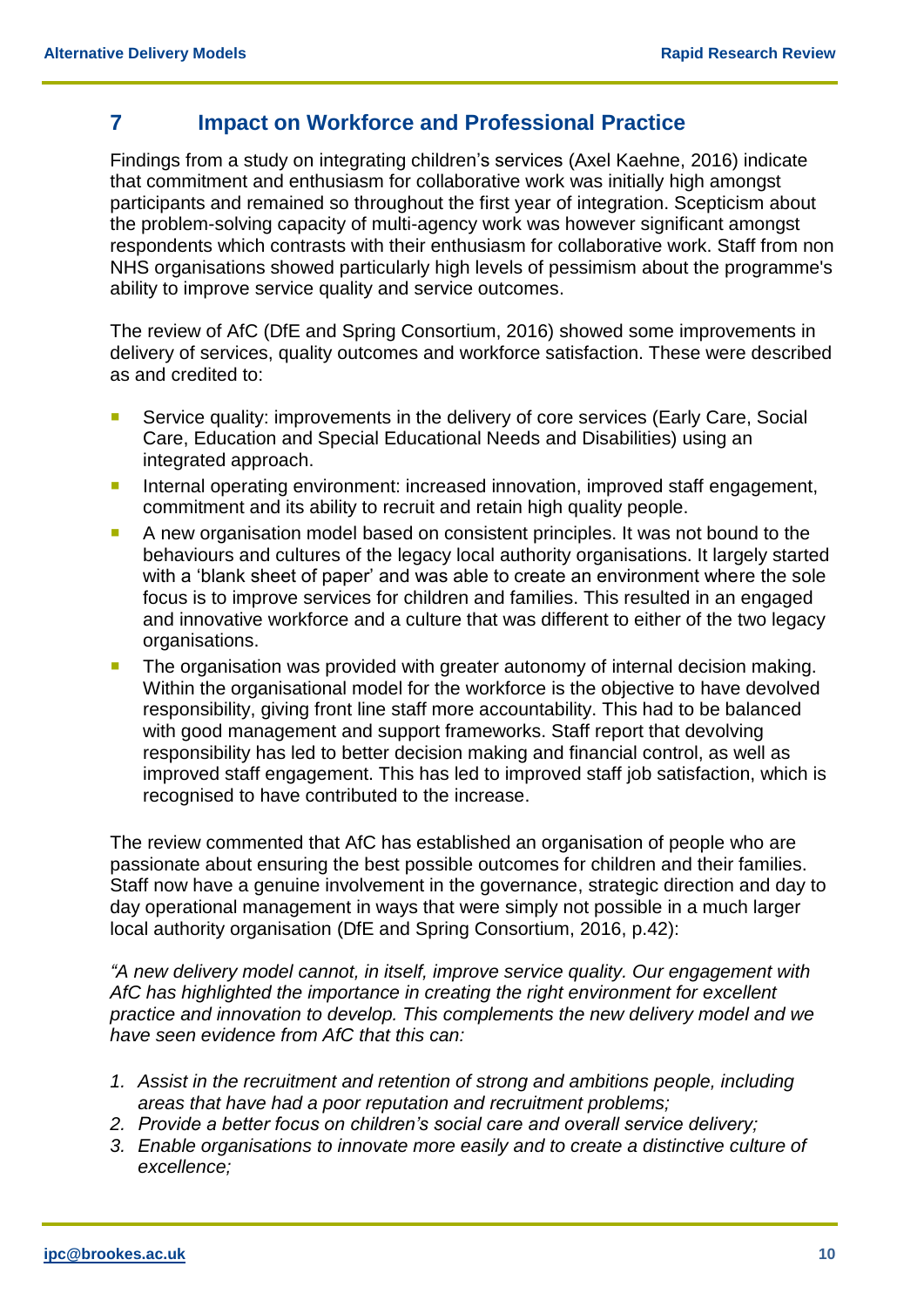#### **7 Impact on Workforce and Professional Practice**

Findings from a study on integrating children's services (Axel Kaehne, 2016) indicate that commitment and enthusiasm for collaborative work was initially high amongst participants and remained so throughout the first year of integration. Scepticism about the problem-solving capacity of multi-agency work was however significant amongst respondents which contrasts with their enthusiasm for collaborative work. Staff from non NHS organisations showed particularly high levels of pessimism about the programme's ability to improve service quality and service outcomes.

The review of AfC (DfE and Spring Consortium, 2016) showed some improvements in delivery of services, quality outcomes and workforce satisfaction. These were described as and credited to:

- Service quality: improvements in the delivery of core services (Early Care, Social Care, Education and Special Educational Needs and Disabilities) using an integrated approach.
- **Internal operating environment: increased innovation, improved staff engagement,** commitment and its ability to recruit and retain high quality people.
- A new organisation model based on consistent principles. It was not bound to the behaviours and cultures of the legacy local authority organisations. It largely started with a 'blank sheet of paper' and was able to create an environment where the sole focus is to improve services for children and families. This resulted in an engaged and innovative workforce and a culture that was different to either of the two legacy organisations.
- The organisation was provided with greater autonomy of internal decision making. Within the organisational model for the workforce is the objective to have devolved responsibility, giving front line staff more accountability. This had to be balanced with good management and support frameworks. Staff report that devolving responsibility has led to better decision making and financial control, as well as improved staff engagement. This has led to improved staff job satisfaction, which is recognised to have contributed to the increase.

The review commented that AfC has established an organisation of people who are passionate about ensuring the best possible outcomes for children and their families. Staff now have a genuine involvement in the governance, strategic direction and day to day operational management in ways that were simply not possible in a much larger local authority organisation (DfE and Spring Consortium, 2016, p.42):

*"A new delivery model cannot, in itself, improve service quality. Our engagement with AfC has highlighted the importance in creating the right environment for excellent practice and innovation to develop. This complements the new delivery model and we have seen evidence from AfC that this can:* 

- *1. Assist in the recruitment and retention of strong and ambitions people, including areas that have had a poor reputation and recruitment problems;*
- *2. Provide a better focus on children's social care and overall service delivery;*
- *3. Enable organisations to innovate more easily and to create a distinctive culture of excellence;*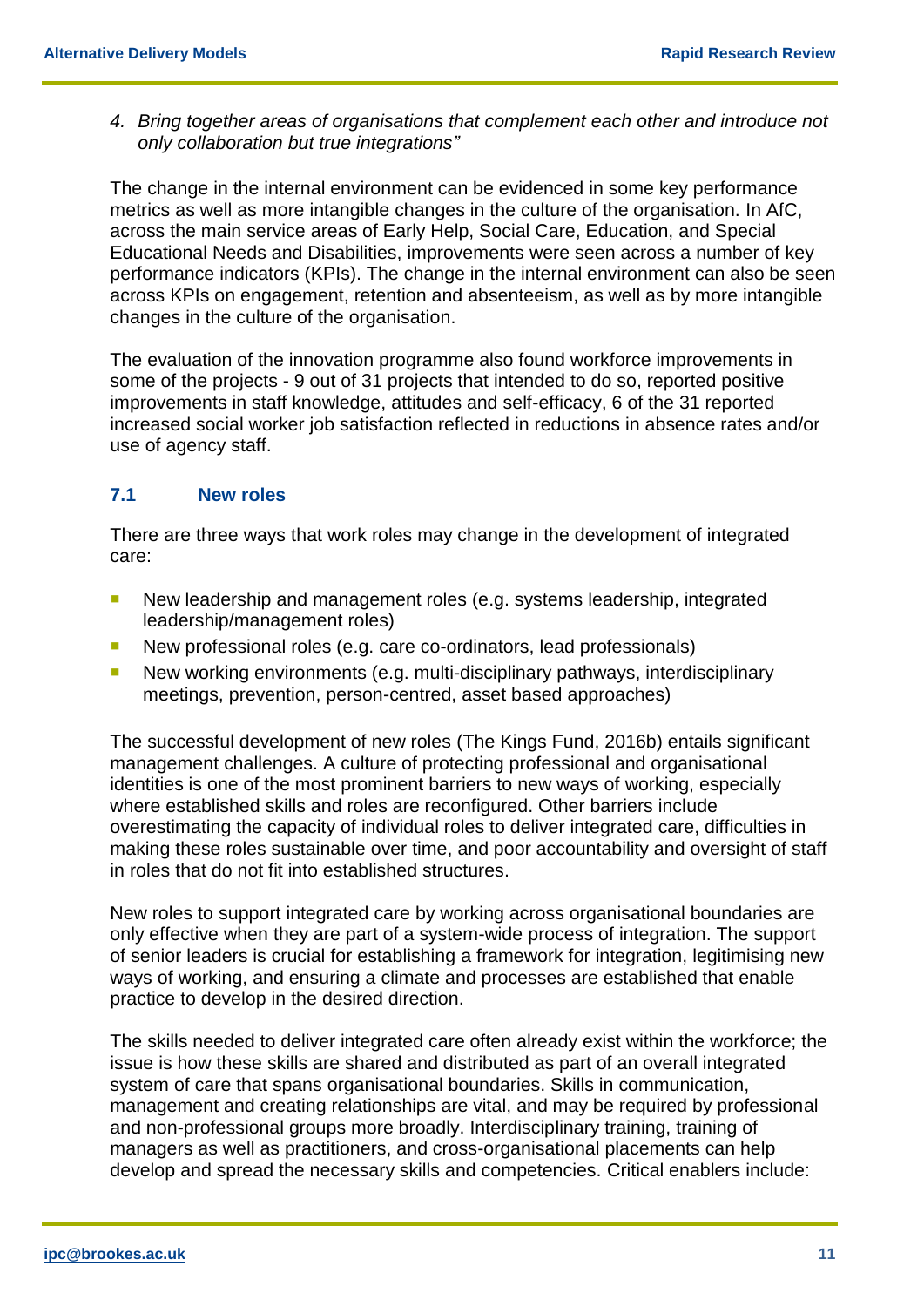*4. Bring together areas of organisations that complement each other and introduce not only collaboration but true integrations"*

The change in the internal environment can be evidenced in some key performance metrics as well as more intangible changes in the culture of the organisation. In AfC, across the main service areas of Early Help, Social Care, Education, and Special Educational Needs and Disabilities, improvements were seen across a number of key performance indicators (KPIs). The change in the internal environment can also be seen across KPIs on engagement, retention and absenteeism, as well as by more intangible changes in the culture of the organisation.

The evaluation of the innovation programme also found workforce improvements in some of the projects - 9 out of 31 projects that intended to do so, reported positive improvements in staff knowledge, attitudes and self-efficacy, 6 of the 31 reported increased social worker job satisfaction reflected in reductions in absence rates and/or use of agency staff.

#### **7.1 New roles**

There are three ways that work roles may change in the development of integrated care:

- New leadership and management roles (e.g. systems leadership, integrated leadership/management roles)
- New professional roles (e.g. care co-ordinators, lead professionals)
- New working environments (e.g. multi-disciplinary pathways, interdisciplinary meetings, prevention, person-centred, asset based approaches)

The successful development of new roles (The Kings Fund, 2016b) entails significant management challenges. A culture of protecting professional and organisational identities is one of the most prominent barriers to new ways of working, especially where established skills and roles are reconfigured. Other barriers include overestimating the capacity of individual roles to deliver integrated care, difficulties in making these roles sustainable over time, and poor accountability and oversight of staff in roles that do not fit into established structures.

New roles to support integrated care by working across organisational boundaries are only effective when they are part of a system-wide process of integration. The support of senior leaders is crucial for establishing a framework for integration, legitimising new ways of working, and ensuring a climate and processes are established that enable practice to develop in the desired direction.

The skills needed to deliver integrated care often already exist within the workforce; the issue is how these skills are shared and distributed as part of an overall integrated system of care that spans organisational boundaries. Skills in communication, management and creating relationships are vital, and may be required by professional and non-professional groups more broadly. Interdisciplinary training, training of managers as well as practitioners, and cross-organisational placements can help develop and spread the necessary skills and competencies. Critical enablers include: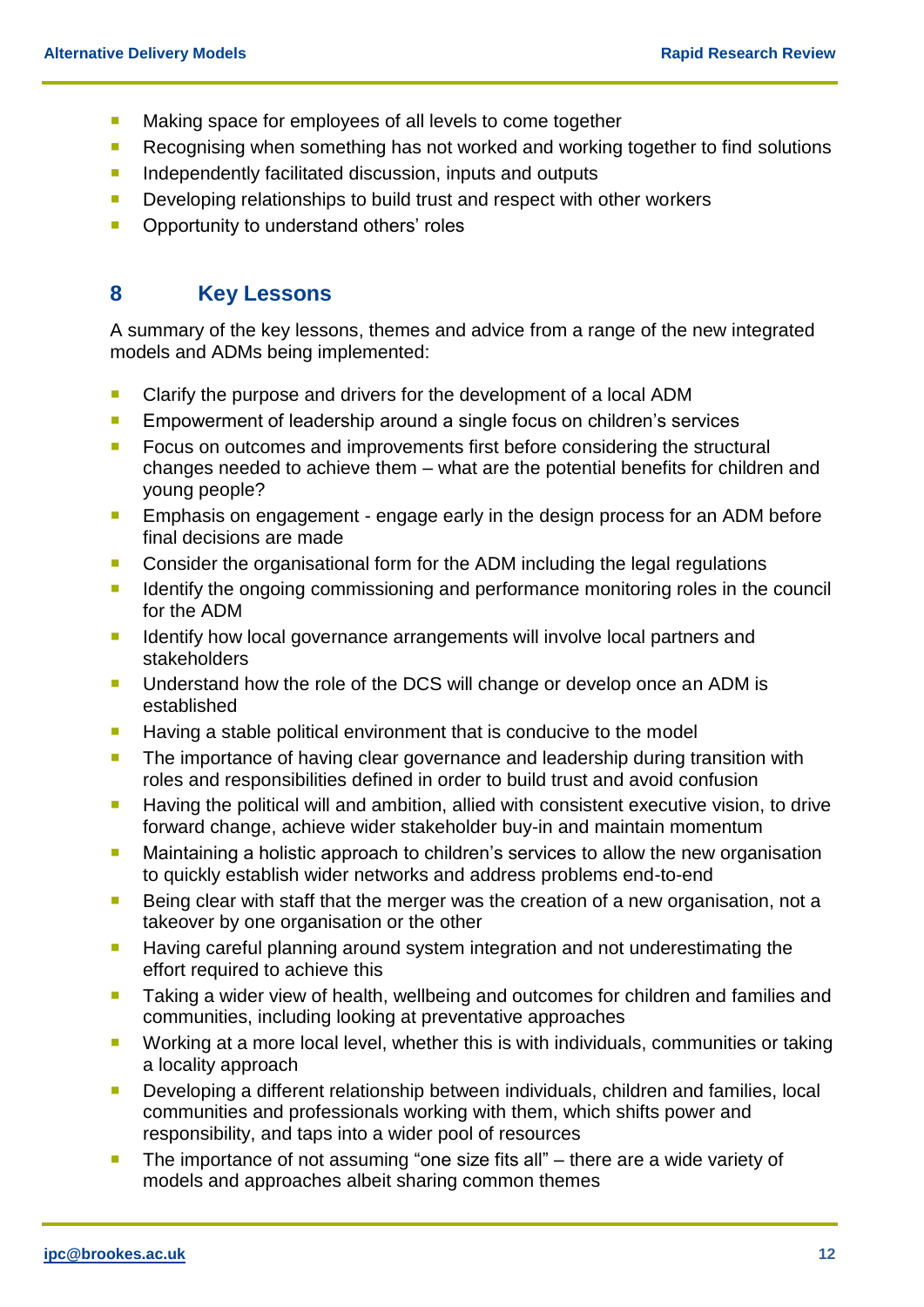- **Making space for employees of all levels to come together**
- Recognising when something has not worked and working together to find solutions
- **Independently facilitated discussion, inputs and outputs**
- **Developing relationships to build trust and respect with other workers**
- **•** Opportunity to understand others' roles

#### **8 Key Lessons**

A summary of the key lessons, themes and advice from a range of the new integrated models and ADMs being implemented:

- **Clarify the purpose and drivers for the development of a local ADM**
- **Empowerment of leadership around a single focus on children's services**
- **FICUL** Focus on outcomes and improvements first before considering the structural changes needed to achieve them – what are the potential benefits for children and young people?
- **Emphasis on engagement engage early in the design process for an ADM before** final decisions are made
- **Consider the organisational form for the ADM including the legal regulations**
- If Identify the ongoing commissioning and performance monitoring roles in the council for the ADM
- I Identify how local governance arrangements will involve local partners and stakeholders
- **Understand how the role of the DCS will change or develop once an ADM is** established
- **Having a stable political environment that is conducive to the model**
- **The importance of having clear governance and leadership during transition with** roles and responsibilities defined in order to build trust and avoid confusion
- **Having the political will and ambition, allied with consistent executive vision, to drive** forward change, achieve wider stakeholder buy-in and maintain momentum
- **Maintaining a holistic approach to children's services to allow the new organisation** to quickly establish wider networks and address problems end-to-end
- Being clear with staff that the merger was the creation of a new organisation, not a takeover by one organisation or the other
- **Having careful planning around system integration and not underestimating the** effort required to achieve this
- Taking a wider view of health, wellbeing and outcomes for children and families and communities, including looking at preventative approaches
- **Working at a more local level, whether this is with individuals, communities or taking** a locality approach
- **Developing a different relationship between individuals, children and families, local** communities and professionals working with them, which shifts power and responsibility, and taps into a wider pool of resources
- **The importance of not assuming "one size fits all"** there are a wide variety of models and approaches albeit sharing common themes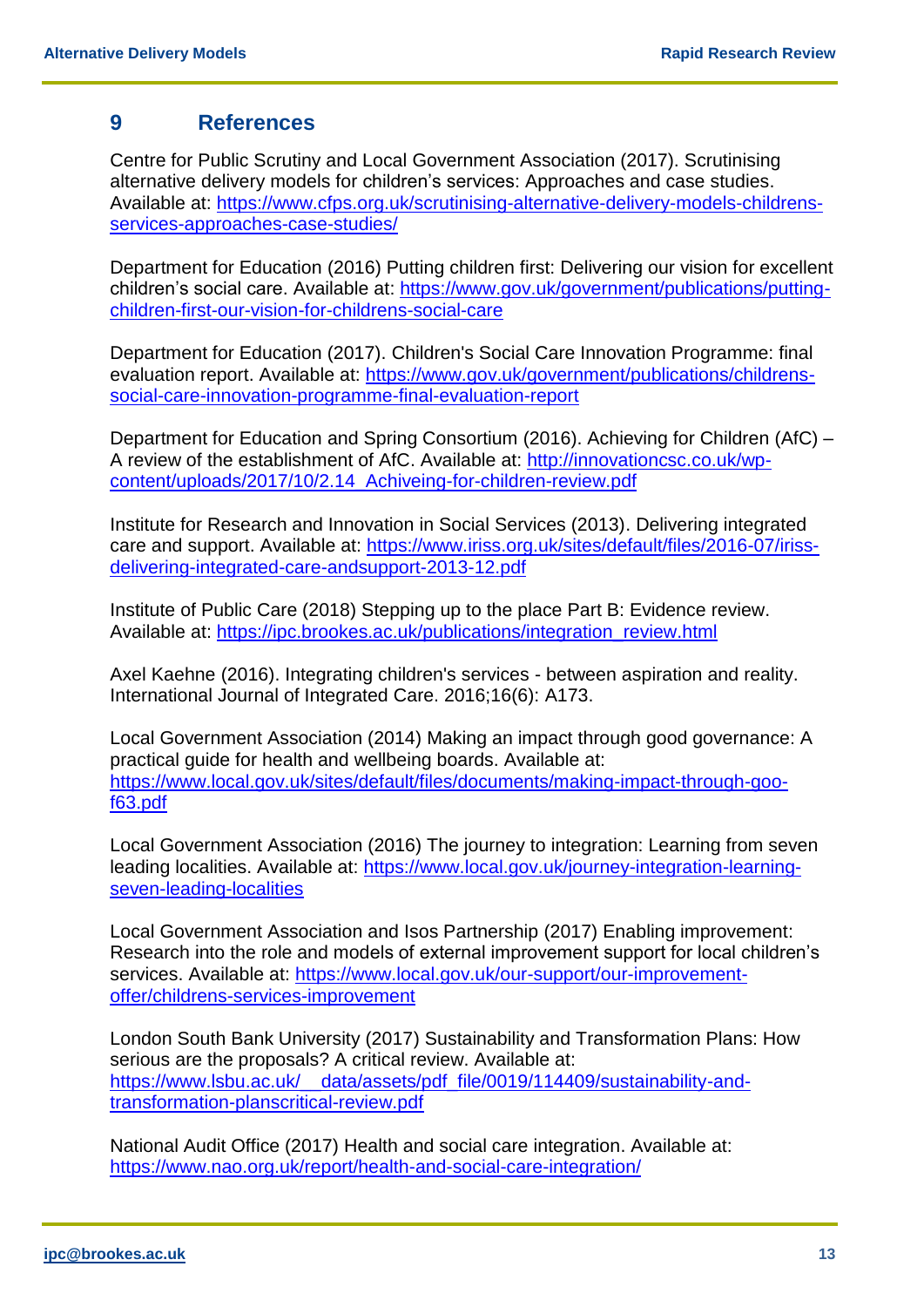#### **9 References**

Centre for Public Scrutiny and Local Government Association (2017). Scrutinising alternative delivery models for children's services: Approaches and case studies. Available at: [https://www.cfps.org.uk/scrutinising-alternative-delivery-models-childrens](https://www.cfps.org.uk/scrutinising-alternative-delivery-models-childrens-services-approaches-case-studies/)[services-approaches-case-studies/](https://www.cfps.org.uk/scrutinising-alternative-delivery-models-childrens-services-approaches-case-studies/)

Department for Education (2016) Putting children first: Delivering our vision for excellent children's social care. Available at: [https://www.gov.uk/government/publications/putting](https://www.gov.uk/government/publications/putting-children-first-our-vision-for-childrens-social-care)[children-first-our-vision-for-childrens-social-care](https://www.gov.uk/government/publications/putting-children-first-our-vision-for-childrens-social-care)

Department for Education (2017). Children's Social Care Innovation Programme: final evaluation report. Available at: [https://www.gov.uk/government/publications/childrens](https://www.gov.uk/government/publications/childrens-social-care-innovation-programme-final-evaluation-report)[social-care-innovation-programme-final-evaluation-report](https://www.gov.uk/government/publications/childrens-social-care-innovation-programme-final-evaluation-report)

Department for Education and Spring Consortium (2016). Achieving for Children (AfC) – A review of the establishment of AfC. Available at: [http://innovationcsc.co.uk/wp](http://innovationcsc.co.uk/wp-content/uploads/2017/10/2.14_Achiveing-for-children-review.pdf)[content/uploads/2017/10/2.14\\_Achiveing-for-children-review.pdf](http://innovationcsc.co.uk/wp-content/uploads/2017/10/2.14_Achiveing-for-children-review.pdf)

Institute for Research and Innovation in Social Services (2013). Delivering integrated care and support. Available at: [https://www.iriss.org.uk/sites/default/files/2016-07/iriss](https://www.iriss.org.uk/sites/default/files/2016-07/iriss-delivering-integrated-care-andsupport-2013-12.pdf)[delivering-integrated-care-andsupport-2013-12.pdf](https://www.iriss.org.uk/sites/default/files/2016-07/iriss-delivering-integrated-care-andsupport-2013-12.pdf)

Institute of Public Care (2018) Stepping up to the place Part B: Evidence review. Available at: [https://ipc.brookes.ac.uk/publications/integration\\_review.html](https://ipc.brookes.ac.uk/publications/integration_review.html)

Axel Kaehne (2016). Integrating children's services - between aspiration and reality. International Journal of Integrated Care. 2016;16(6): A173.

Local Government Association (2014) Making an impact through good governance: A practical guide for health and wellbeing boards. Available at: [https://www.local.gov.uk/sites/default/files/documents/making-impact-through-goo](https://www.local.gov.uk/sites/default/files/documents/making-impact-through-goo-f63.pdf)[f63.pdf](https://www.local.gov.uk/sites/default/files/documents/making-impact-through-goo-f63.pdf)

Local Government Association (2016) The journey to integration: Learning from seven leading localities. Available at: [https://www.local.gov.uk/journey-integration-learning](https://www.local.gov.uk/journey-integration-learning-seven-leading-localities)[seven-leading-localities](https://www.local.gov.uk/journey-integration-learning-seven-leading-localities)

Local Government Association and Isos Partnership (2017) Enabling improvement: Research into the role and models of external improvement support for local children's services. Available at: [https://www.local.gov.uk/our-support/our-improvement](https://www.local.gov.uk/our-support/our-improvement-offer/childrens-services-improvement)[offer/childrens-services-improvement](https://www.local.gov.uk/our-support/our-improvement-offer/childrens-services-improvement)

London South Bank University (2017) Sustainability and Transformation Plans: How serious are the proposals? A critical review. Available at: https://www.lsbu.ac.uk/ data/assets/pdf file/0019/114409/sustainability-and[transformation-planscritical-review.pdf](https://www.lsbu.ac.uk/__data/assets/pdf_file/0019/114409/sustainability-and-transformation-planscritical-review.pdf)

National Audit Office (2017) Health and social care integration. Available at: <https://www.nao.org.uk/report/health-and-social-care-integration/>